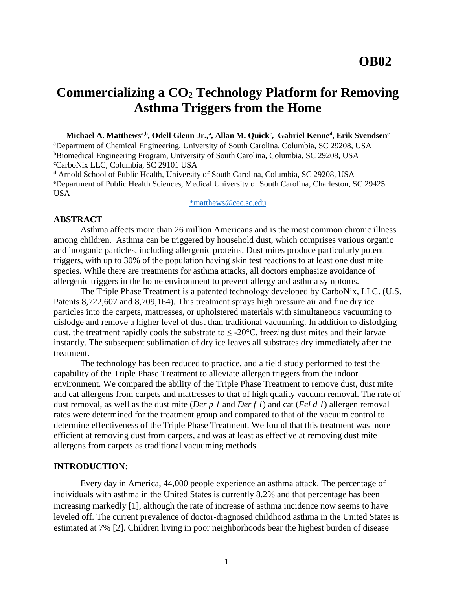# **Commercializing a CO<sup>2</sup> Technology Platform for Removing Asthma Triggers from the Home**

**Michael A. Matthewsa,b , Odell Glenn Jr.,<sup>a</sup> , Allan M. Quick<sup>c</sup> , Gabriel Kenne<sup>d</sup> , Erik Svendsen<sup>e</sup>** <sup>a</sup>Department of Chemical Engineering, University of South Carolina, Columbia, SC 29208, USA **bBiomedical Engineering Program, University of South Carolina, Columbia, SC 29208, USA** <sup>c</sup>CarboNix LLC, Columbia, SC 29101 USA

<sup>d</sup> Arnold School of Public Health, University of South Carolina, Columbia, SC 29208, USA <sup>e</sup>Department of Public Health Sciences, Medical University of South Carolina, Charleston, SC 29425 USA

[\\*matthews@cec.sc.edu](mailto:*matthews@cec.sc.edu)

#### **ABSTRACT**

Asthma affects more than 26 million Americans and is the most common chronic illness among children. Asthma can be triggered by household dust, which comprises various organic and inorganic particles, including allergenic proteins. Dust mites produce particularly potent triggers, with up to 30% of the population having skin test reactions to at least one dust mite species**.** While there are treatments for asthma attacks, all doctors emphasize avoidance of allergenic triggers in the home environment to prevent allergy and asthma symptoms.

The Triple Phase Treatment is a patented technology developed by CarboNix, LLC. (U.S. Patents 8,722,607 and 8,709,164). This treatment sprays high pressure air and fine dry ice particles into the carpets, mattresses, or upholstered materials with simultaneous vacuuming to dislodge and remove a higher level of dust than traditional vacuuming. In addition to dislodging dust, the treatment rapidly cools the substrate to  $\leq -20^{\circ}$ C, freezing dust mites and their larvae instantly. The subsequent sublimation of dry ice leaves all substrates dry immediately after the treatment.

The technology has been reduced to practice, and a field study performed to test the capability of the Triple Phase Treatment to alleviate allergen triggers from the indoor environment. We compared the ability of the Triple Phase Treatment to remove dust, dust mite and cat allergens from carpets and mattresses to that of high quality vacuum removal. The rate of dust removal, as well as the dust mite (*Der p 1* and *Der f 1*) and cat (*Fel d 1*) allergen removal rates were determined for the treatment group and compared to that of the vacuum control to determine effectiveness of the Triple Phase Treatment. We found that this treatment was more efficient at removing dust from carpets, and was at least as effective at removing dust mite allergens from carpets as traditional vacuuming methods.

#### **INTRODUCTION:**

Every day in America, 44,000 people experience an asthma attack. The percentage of individuals with asthma in the United States is currently 8.2% and that percentage has been increasing markedly [\[1\]](#page-5-0), although the rate of increase of asthma incidence now seems to have leveled off. The current prevalence of doctor-diagnosed childhood asthma in the United States is estimated at 7% [\[2\]](#page-5-1). Children living in poor neighborhoods bear the highest burden of disease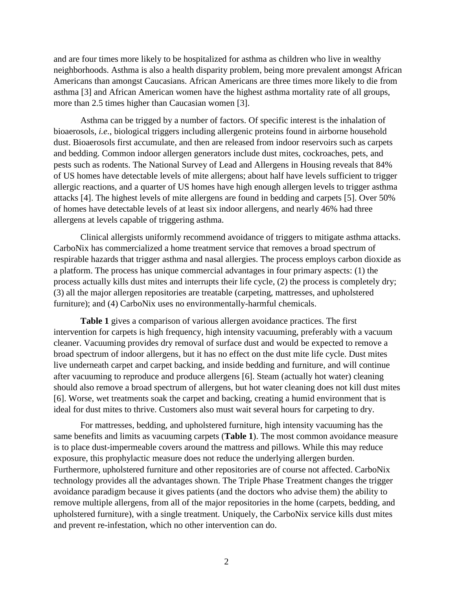and are four times more likely to be hospitalized for asthma as children who live in wealthy neighborhoods. Asthma is also a health disparity problem, being more prevalent amongst African Americans than amongst Caucasians. African Americans are three times more likely to die from asthma [\[3\]](#page-5-2) and African American women have the highest asthma mortality rate of all groups, more than 2.5 times higher than Caucasian women [\[3\]](#page-5-2).

Asthma can be trigged by a number of factors. Of specific interest is the inhalation of bioaerosols, *i.e.*, biological triggers including allergenic proteins found in airborne household dust. Bioaerosols first accumulate, and then are released from indoor reservoirs such as carpets and bedding. Common indoor allergen generators include dust mites, cockroaches, pets, and pests such as rodents. The National Survey of Lead and Allergens in Housing reveals that 84% of US homes have detectable levels of mite allergens; about half have levels sufficient to trigger allergic reactions, and a quarter of US homes have high enough allergen levels to trigger asthma attacks [\[4\]](#page-6-0). The highest levels of mite allergens are found in bedding and carpets [\[5\]](#page-6-1). Over 50% of homes have detectable levels of at least six indoor allergens, and nearly 46% had three allergens at levels capable of triggering asthma.

Clinical allergists uniformly recommend avoidance of triggers to mitigate asthma attacks. CarboNix has commercialized a home treatment service that removes a broad spectrum of respirable hazards that trigger asthma and nasal allergies. The process employs carbon dioxide as a platform. The process has unique commercial advantages in four primary aspects: (1) the process actually kills dust mites and interrupts their life cycle, (2) the process is completely dry; (3) all the major allergen repositories are treatable (carpeting, mattresses, and upholstered furniture); and (4) CarboNix uses no environmentally-harmful chemicals.

**Table 1** gives a comparison of various allergen avoidance practices. The first intervention for carpets is high frequency, high intensity vacuuming, preferably with a vacuum cleaner. Vacuuming provides dry removal of surface dust and would be expected to remove a broad spectrum of indoor allergens, but it has no effect on the dust mite life cycle. Dust mites live underneath carpet and carpet backing, and inside bedding and furniture, and will continue after vacuuming to reproduce and produce allergens [\[6\]](#page-6-2). Steam (actually hot water) cleaning should also remove a broad spectrum of allergens, but hot water cleaning does not kill dust mites [\[6\]](#page-6-2). Worse, wet treatments soak the carpet and backing, creating a humid environment that is ideal for dust mites to thrive. Customers also must wait several hours for carpeting to dry.

For mattresses, bedding, and upholstered furniture, high intensity vacuuming has the same benefits and limits as vacuuming carpets (**Table 1**). The most common avoidance measure is to place dust-impermeable covers around the mattress and pillows. While this may reduce exposure, this prophylactic measure does not reduce the underlying allergen burden. Furthermore, upholstered furniture and other repositories are of course not affected. CarboNix technology provides all the advantages shown. The Triple Phase Treatment changes the trigger avoidance paradigm because it gives patients (and the doctors who advise them) the ability to remove multiple allergens, from all of the major repositories in the home (carpets, bedding, and upholstered furniture), with a single treatment. Uniquely, the CarboNix service kills dust mites and prevent re-infestation, which no other intervention can do.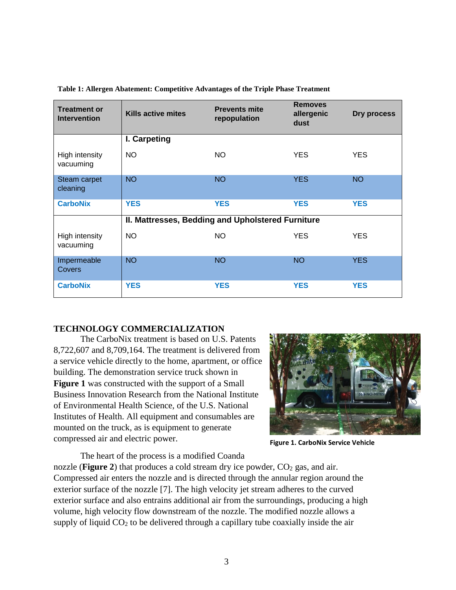| <b>Treatment or</b><br><b>Intervention</b> | Kills active mites                                | <b>Prevents mite</b><br>repopulation | <b>Removes</b><br>allergenic<br>dust | Dry process |
|--------------------------------------------|---------------------------------------------------|--------------------------------------|--------------------------------------|-------------|
|                                            | I. Carpeting                                      |                                      |                                      |             |
| High intensity<br>vacuuming                | NO.                                               | <b>NO</b>                            | <b>YES</b>                           | <b>YES</b>  |
| Steam carpet<br>cleaning                   | <b>NO</b>                                         | <b>NO</b>                            | <b>YES</b>                           | <b>NO</b>   |
| <b>CarboNix</b>                            | <b>YES</b>                                        | <b>YES</b>                           | <b>YES</b>                           | <b>YES</b>  |
|                                            | II. Mattresses, Bedding and Upholstered Furniture |                                      |                                      |             |
| High intensity<br>vacuuming                | <b>NO</b>                                         | <b>NO</b>                            | <b>YES</b>                           | <b>YES</b>  |
| Impermeable<br>Covers                      | <b>NO</b>                                         | <b>NO</b>                            | <b>NO</b>                            | <b>YES</b>  |
| <b>CarboNix</b>                            | <b>YES</b>                                        | <b>YES</b>                           | <b>YES</b>                           | <b>YES</b>  |

**Table 1: Allergen Abatement: Competitive Advantages of the Triple Phase Treatment**

## **TECHNOLOGY COMMERCIALIZATION**

The CarboNix treatment is based on U.S. Patents 8,722,607 and 8,709,164. The treatment is delivered from a service vehicle directly to the home, apartment, or office building. The demonstration service truck shown in **Figure 1** was constructed with the support of a Small Business Innovation Research from the National Institute of Environmental Health Science, of the U.S. National Institutes of Health. All equipment and consumables are mounted on the truck, as is equipment to generate compressed air and electric power.



**Figure 1. CarboNix Service Vehicle**

The heart of the process is a modified Coanda nozzle (**Figure 2**) that produces a cold stream dry ice powder,  $CO<sub>2</sub>$  gas, and air. Compressed air enters the nozzle and is directed through the annular region around the exterior surface of the nozzle [\[7\]](#page-6-3). The high velocity jet stream adheres to the curved exterior surface and also entrains additional air from the surroundings, producing a high volume, high velocity flow downstream of the nozzle. The modified nozzle allows a supply of liquid  $CO<sub>2</sub>$  to be delivered through a capillary tube coaxially inside the air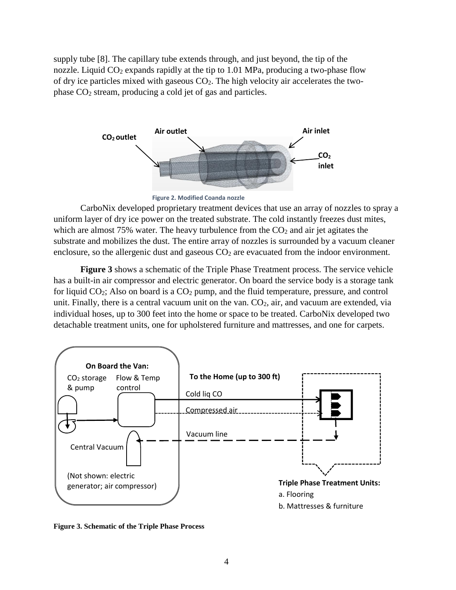supply tube [\[8\]](#page-6-4). The capillary tube extends through, and just beyond, the tip of the nozzle. Liquid  $CO_2$  expands rapidly at the tip to 1.01 MPa, producing a two-phase flow of dry ice particles mixed with gaseous CO2. The high velocity air accelerates the twophase CO<sup>2</sup> stream, producing a cold jet of gas and particles.



**Figure 2. Modified Coanda nozzle**

CarboNix developed proprietary treatment devices that use an array of nozzles to spray a uniform layer of dry ice power on the treated substrate. The cold instantly freezes dust mites, which are almost  $75\%$  water. The heavy turbulence from the  $CO<sub>2</sub>$  and air jet agitates the substrate and mobilizes the dust. The entire array of nozzles is surrounded by a vacuum cleaner enclosure, so the allergenic dust and gaseous  $CO<sub>2</sub>$  are evacuated from the indoor environment.

**Figure 3** shows a schematic of the Triple Phase Treatment process. The service vehicle has a built-in air compressor and electric generator. On board the service body is a storage tank for liquid  $CO_2$ ; Also on board is a  $CO_2$  pump, and the fluid temperature, pressure, and control unit. Finally, there is a central vacuum unit on the van.  $CO<sub>2</sub>$ , air, and vacuum are extended, via individual hoses, up to 300 feet into the home or space to be treated. CarboNix developed two detachable treatment units, one for upholstered furniture and mattresses, and one for carpets.



**Figure 3. Schematic of the Triple Phase Process**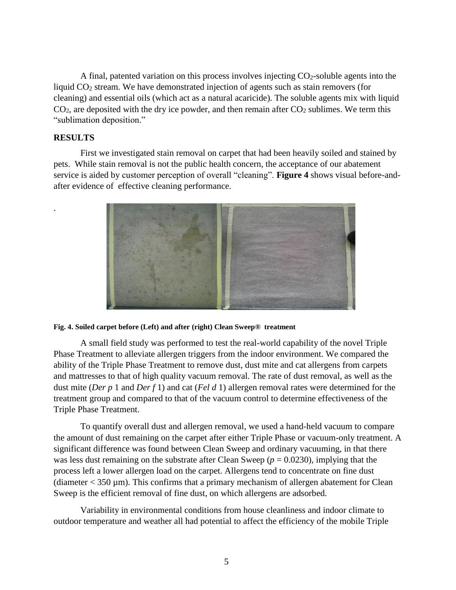A final, patented variation on this process involves injecting  $CO<sub>2</sub>$ -soluble agents into the liquid  $CO<sub>2</sub>$  stream. We have demonstrated injection of agents such as stain removers (for cleaning) and essential oils (which act as a natural acaricide). The soluble agents mix with liquid  $CO<sub>2</sub>$ , are deposited with the dry ice powder, and then remain after  $CO<sub>2</sub>$  sublimes. We term this "sublimation deposition."

## **RESULTS**

.

First we investigated stain removal on carpet that had been heavily soiled and stained by pets. While stain removal is not the public health concern, the acceptance of our abatement service is aided by customer perception of overall "cleaning". **Figure 4** shows visual before-andafter evidence of effective cleaning performance.



#### **Fig. 4. Soiled carpet before (Left) and after (right) Clean Sweep® treatment**

A small field study was performed to test the real-world capability of the novel Triple Phase Treatment to alleviate allergen triggers from the indoor environment. We compared the ability of the Triple Phase Treatment to remove dust, dust mite and cat allergens from carpets and mattresses to that of high quality vacuum removal. The rate of dust removal, as well as the dust mite (*Der p* 1 and *Der f* 1) and cat (*Fel d* 1) allergen removal rates were determined for the treatment group and compared to that of the vacuum control to determine effectiveness of the Triple Phase Treatment.

To quantify overall dust and allergen removal, we used a hand-held vacuum to compare the amount of dust remaining on the carpet after either Triple Phase or vacuum-only treatment. A significant difference was found between Clean Sweep and ordinary vacuuming, in that there was less dust remaining on the substrate after Clean Sweep ( $p = 0.0230$ ), implying that the process left a lower allergen load on the carpet. Allergens tend to concentrate on fine dust (diameter  $<$  350  $\mu$ m). This confirms that a primary mechanism of allergen abatement for Clean Sweep is the efficient removal of fine dust, on which allergens are adsorbed.

Variability in environmental conditions from house cleanliness and indoor climate to outdoor temperature and weather all had potential to affect the efficiency of the mobile Triple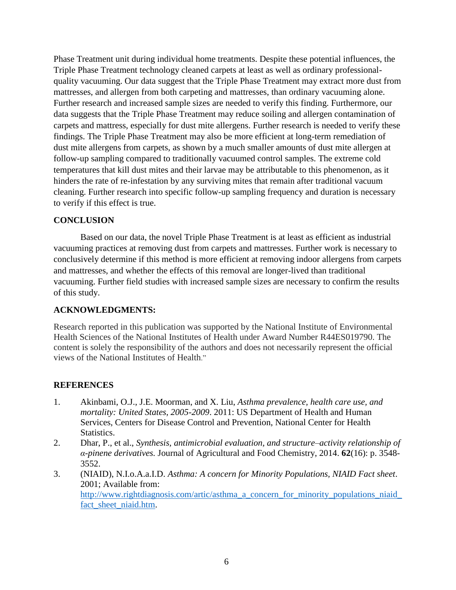Phase Treatment unit during individual home treatments. Despite these potential influences, the Triple Phase Treatment technology cleaned carpets at least as well as ordinary professionalquality vacuuming. Our data suggest that the Triple Phase Treatment may extract more dust from mattresses, and allergen from both carpeting and mattresses, than ordinary vacuuming alone. Further research and increased sample sizes are needed to verify this finding. Furthermore, our data suggests that the Triple Phase Treatment may reduce soiling and allergen contamination of carpets and mattress, especially for dust mite allergens. Further research is needed to verify these findings. The Triple Phase Treatment may also be more efficient at long-term remediation of dust mite allergens from carpets, as shown by a much smaller amounts of dust mite allergen at follow-up sampling compared to traditionally vacuumed control samples. The extreme cold temperatures that kill dust mites and their larvae may be attributable to this phenomenon, as it hinders the rate of re-infestation by any surviving mites that remain after traditional vacuum cleaning. Further research into specific follow-up sampling frequency and duration is necessary to verify if this effect is true.

# **CONCLUSION**

Based on our data, the novel Triple Phase Treatment is at least as efficient as industrial vacuuming practices at removing dust from carpets and mattresses. Further work is necessary to conclusively determine if this method is more efficient at removing indoor allergens from carpets and mattresses, and whether the effects of this removal are longer-lived than traditional vacuuming. Further field studies with increased sample sizes are necessary to confirm the results of this study.

## **ACKNOWLEDGMENTS:**

Research reported in this publication was supported by the National Institute of Environmental Health Sciences of the National Institutes of Health under Award Number R44ES019790. The content is solely the responsibility of the authors and does not necessarily represent the official views of the National Institutes of Health."

# **REFERENCES**

- <span id="page-5-0"></span>1. Akinbami, O.J., J.E. Moorman, and X. Liu, *Asthma prevalence, health care use, and mortality: United States, 2005-2009*. 2011: US Department of Health and Human Services, Centers for Disease Control and Prevention, National Center for Health Statistics.
- <span id="page-5-1"></span>2. Dhar, P., et al., *Synthesis, antimicrobial evaluation, and structure–activity relationship of α-pinene derivatives.* Journal of Agricultural and Food Chemistry, 2014. **62**(16): p. 3548- 3552.
- <span id="page-5-2"></span>3. (NIAID), N.I.o.A.a.I.D. *Asthma: A concern for Minority Populations, NIAID Fact sheet*. 2001; Available from: http://www.rightdiagnosis.com/artic/asthma a concern for minority populations niaid [fact\\_sheet\\_niaid.htm.](http://www.rightdiagnosis.com/artic/asthma_a_concern_for_minority_populations_niaid_fact_sheet_niaid.htm)